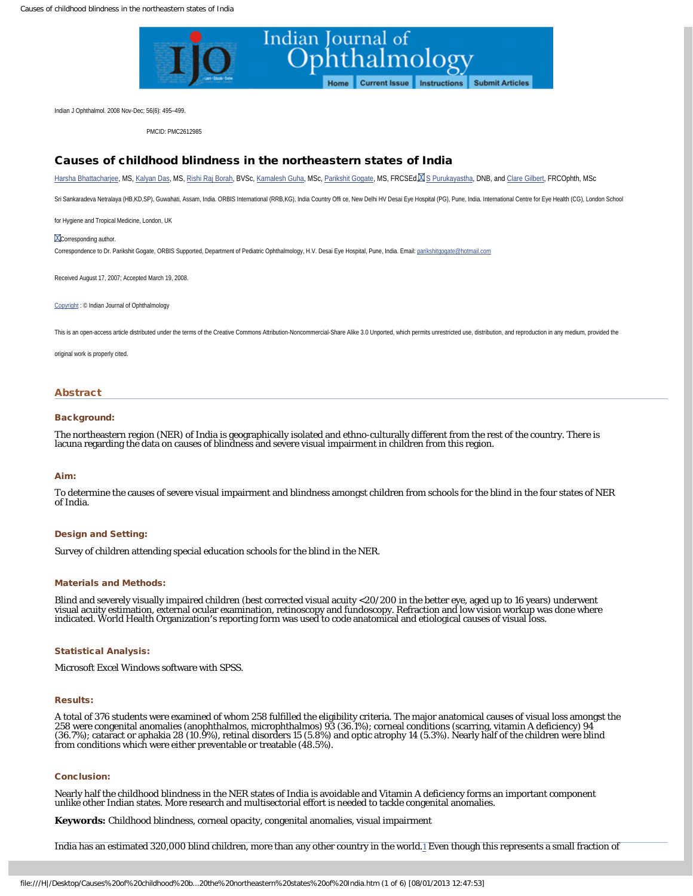

<span id="page-0-0"></span>Indian J Ophthalmol. 2008 Nov-Dec; 56(6): 495–499.

PMCID: PMC2612985

## Causes of childhood blindness in the northeastern states of India

[Harsha Bhattacharjee,](http://www.ncbi.nlm.nih.gov/pubmed/?term=Bhattacharjee%20H%5Bauth%5D) MS, [Kalyan Das,](http://www.ncbi.nlm.nih.gov/pubmed/?term=Das%20K%5Bauth%5D) MS, [Rishi Raj Borah,](http://www.ncbi.nlm.nih.gov/pubmed/?term=Borah%20RR%5Bauth%5D) BVSc, [Kamalesh Guha,](http://www.ncbi.nlm.nih.gov/pubmed/?term=Guha%20K%5Bauth%5D) MSc, [Parikshit Gogate](http://www.ncbi.nlm.nih.gov/pubmed/?term=Gogate%20P%5Bauth%5D), MS, FRCSEd, [S Purukayastha,](http://www.ncbi.nlm.nih.gov/pubmed/?term=Purukayastha%20S%5Bauth%5D) DNB, and [Clare Gilbert,](http://www.ncbi.nlm.nih.gov/pubmed/?term=Gilbert%20C%5Bauth%5D) FRCOphth, MSc

Sri Sankaradeva Netralaya (HB,KD,SP), Guwahati, Assam, India. ORBIS International (RRB,KG), India Country Offi ce, New Delhi HV Desai Eye Hospital (PG), Pune, India. International Centre for Eye Health (CG), London School

for Hygiene and Tropical Medicine, London, UK

#### **X**Corresponding author.

Correspondence to Dr. Parikshit Gogate, ORBIS Supported, Department of Pediatric Ophthalmology, H.V. Desai Eye Hospital, Pune, India. Email: [parikshitgogate@hotmail.com](mailto:parikshitgogate@hotmail.com)

Received August 17, 2007; Accepted March 19, 2008.

[Copyright](http://www.ncbi.nlm.nih.gov/pmc/about/copyright.html) : © Indian Journal of Ophthalmology

This is an open-access article distributed under the terms of the Creative Commons Attribution-Noncommercial-Share Alike 3.0 Unported, which permits unrestricted use, distribution, and reproduction in any medium, provided

original work is properly cited.

#### Abstract

### Background:

The northeastern region (NER) of India is geographically isolated and ethno-culturally different from the rest of the country. There is lacuna regarding the data on causes of blindness and severe visual impairment in children from this region.

#### Aim:

To determine the causes of severe visual impairment and blindness amongst children from schools for the blind in the four states of NER of India.

### Design and Setting:

Survey of children attending special education schools for the blind in the NER.

#### Materials and Methods:

Blind and severely visually impaired children (best corrected visual acuity <20/200 in the better eye, aged up to 16 years) underwent visual acuity estimation, external ocular examination, retinoscopy and fundoscopy. Refraction and low vision workup was done where indicated. World Health Organization′s reporting form was used to code anatomical and etiological causes of visual loss.

### Statistical Analysis:

Microsoft Excel Windows software with SPSS.

### Results:

A total of 376 students were examined of whom 258 fulfilled the eligibility criteria. The major anatomical causes of visual loss amongst the 258 were congenital anomalies (anophthalmos, microphthalmos) 93 (36.1%); corneal conditions (scarring, vitamin A deficiency) 94 (36.7%); cataract or aphakia 28 (10.9%), retinal disorders 15 (5.8%) and optic atrophy 14 (5.3%). Nearly half of the children were blind from conditions which were either preventable or treatable (48.5%).

### Conclusion:

Nearly half the childhood blindness in the NER states of India is avoidable and Vitamin A deficiency forms an important component unlike other Indian states. More research and multisectorial effort is needed to tackle congenital anomalies.

**Keywords:** Childhood blindness, corneal opacity, congenital anomalies, visual impairment

India has an estimated 320,000 blind children, more than any other country in the world[.1](#page-0-0) Even though this represents a small fraction of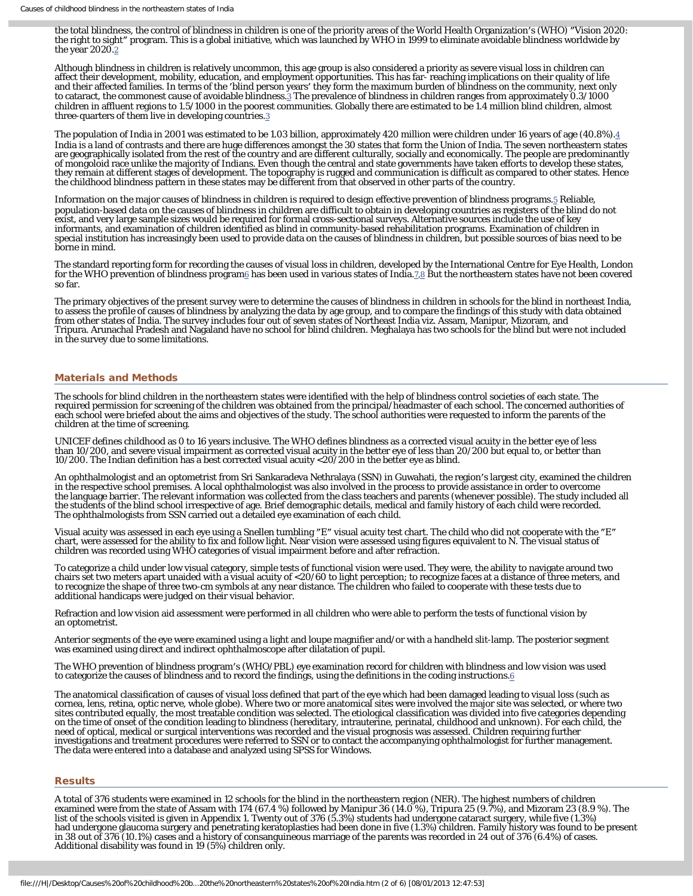the total blindness, the control of blindness in children is one of the priority areas of the World Health Organization′s (WHO) ″Vision 2020: the right to sight″ program. This is a global initiative, which was launched by WHO in 1999 to eliminate avoidable blindness worldwide by the year [2](#page-0-0)020.<sup>2</sup>

Although blindness in children is relatively uncommon, this age group is also considered a priority as severe visual loss in children can affect their development, mobility, education, and employment opportunities. This has far- reaching implications on their quality of life and their affected families. In terms of the ′blind person years′ they form the maximum burden of blindness on the community, next only to cataract, the commonest cause of avoidable blindness.<sup>[3](#page-0-0)</sup> The prevalence of blindness in children ranges from approximately 0.3/1000 children in affluent regions to 1.5/1000 in the poorest communities. Globally there are estimated to be 1.4 million blind children, almost three-quarters of them live in developing countries.<sup>3</sup>

The population of India in 2001 was estimated to be 1.03 billion, approximately 420 million were children under 16 years of age (40.8%).[4](#page-0-0) India is a land of contrasts and there are huge differences amongst the 30 states that form the Union of India. The seven northeastern states are geographically isolated from the rest of the country and are different culturally, socially and economically. The people are predominantly of mongoloid race unlike the majority of Indians. Even though the central and state governments have taken efforts to develop these states, they remain at different stages of development. The topography is rugged and communication is difficult as compared to other states. Hence the childhood blindness pattern in these states may be different from that observed in other parts of the country.

Information on the major causes of blindness in children is required to design effective prevention of blindness programs.[5](#page-0-0) Reliable, population-based data on the causes of blindness in children are difficult to obtain in developing countries as registers of the blind do not exist, and very large sample sizes would be required for formal cross-sectional surveys. Alternative sources include the use of key informants, and examination of children identified as blind in community-based rehabilitation programs. Examination of children in special institution has increasingly been used to provide data on the causes of blindness in children, but possible sources of bias need to be borne in mind.

The standard reporting form for recording the causes of visual loss in children, developed by the International Centre for Eye Health, London for the WHO prevention of blindness program<sub>6</sub> has been used in various states of India[.7,8](#page-0-0) But the northeastern states have not been covered so far.

The primary objectives of the present survey were to determine the causes of blindness in children in schools for the blind in northeast India, to assess the profile of causes of blindness by analyzing the data by age group, and to compare the findings of this study with data obtained from other states of India. The survey includes four out of seven states of Northeast India viz. Assam, Manipur, Mizoram, and Tripura. Arunachal Pradesh and Nagaland have no school for blind children. Meghalaya has two schools for the blind but were not included in the survey due to some limitations.

#### Materials and Methods

The schools for blind children in the northeastern states were identified with the help of blindness control societies of each state. The required permission for screening of the children was obtained from the principal/headmaster of each school. The concerned authorities of each school were briefed about the aims and objectives of the study. The school authorities were requested to inform the parents of the children at the time of screening.

UNICEF defines childhood as 0 to 16 years inclusive. The WHO defines blindness as a corrected visual acuity in the better eye of less than 10/200, and severe visual impairment as corrected visual acuity in the better eye of less than 20/200 but equal to, or better than 10/200. The Indian definition has a best corrected visual acuity <20/200 in the better eye as blind.

An ophthalmologist and an optometrist from Sri Sankaradeva Nethralaya (SSN) in Guwahati, the region′s largest city, examined the children in the respective school premises. A local ophthalmologist was also involved in the process to provide assistance in order to overcome<br>the language barrier. The relevant information was collected from the class teachers an the students of the blind school irrespective of age. Brief demographic details, medical and family history of each child were recorded. The ophthalmologists from SSN carried out a detailed eye examination of each child.

Visual acuity was assessed in each eye using a Snellen tumbling ″E″ visual acuity test chart. The child who did not cooperate with the ″E″ chart, were assessed for the ability to fix and follow light. Near vision were assessed using figures equivalent to N. The visual status of children was recorded using WHO categories of visual impairment before and after refraction.

To categorize a child under low visual category, simple tests of functional vision were used. They were, the ability to navigate around two chairs set two meters apart unaided with a visual acuity of <20/60 to light perception; to recognize faces at a distance of three meters, and to recognize the shape of three two-cm symbols at any near distance. The children who failed to cooperate with these tests due to additional handicaps were judged on their visual behavior.

Refraction and low vision aid assessment were performed in all children who were able to perform the tests of functional vision by an optometrist.

Anterior segments of the eye were examined using a light and loupe magnifier and/or with a handheld slit-lamp. The posterior segment was examined using direct and indirect ophthalmoscope after dilatation of pupil.

The WHO prevention of blindness program′s (WHO/PBL) eye examination record for children with blindness and low vision was used to categorize the causes of blindness and to record the findings, using the definitions in the coding instructions[.6](#page-0-0)

The anatomical classification of causes of visual loss defined that part of the eye which had been damaged leading to visual loss (such as cornea, lens, retina, optic nerve, whole globe). Where two or more anatomical sites were involved the major site was selected, or where two sites contributed equally, the most treatable condition was selected. The etiological classification was divided into five categories depending<br>on the time of onset of the condition leading to blindness (hereditary, intrau need of optical, medical or surgical interventions was recorded and the visual prognosis was assessed. Children requiring further<br>investigations and treatment procedures were referred to SSN or to contact the accompanying The data were entered into a database and analyzed using SPSS for Windows.

#### Results

A total of 376 students were examined in 12 schools for the blind in the northeastern region (NER). The highest numbers of children examined were from the state of Assam with 174 (67.4 %) followed by Manipur 36 (14.0 %), Tripura 25 (9.7%), and Mizoram 23 (8.9 %). The list of the schools visited is given in Appendix 1. Twenty out of 376 (5.3%) students had undergone cataract surgery, while five (1.3%) had undergone glaucoma surgery and penetrating keratoplasties had been done in five (1.3%) children. Family history was found to be present in 38 out of 376 (10.1%) cases and a history of consanguineous marriage of the parents was recorded in 24 out of 376 (6.4%) of cases. Additional disability was found in 19 (5%) children only.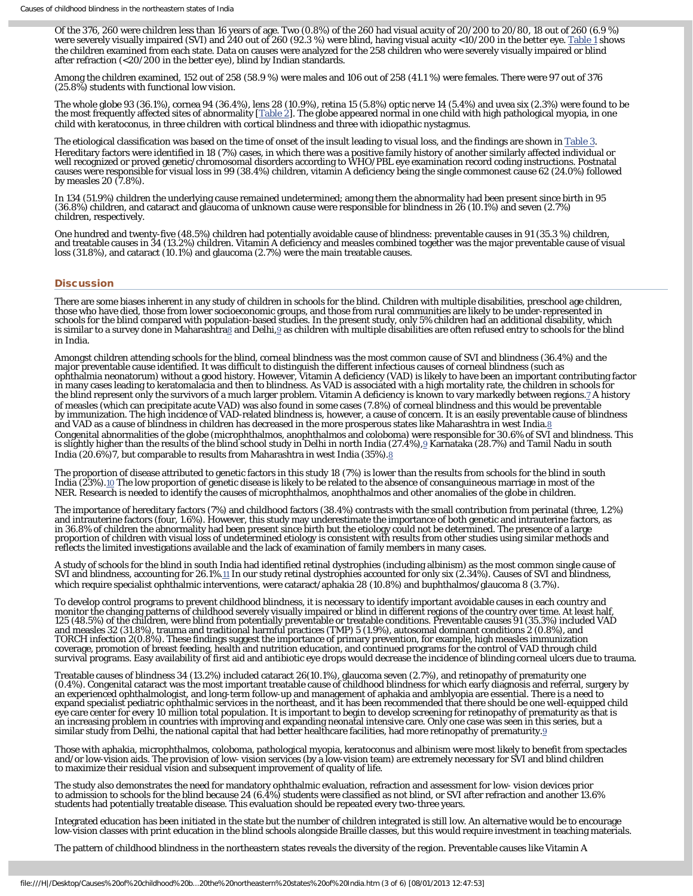Of the 376, 260 were children less than 16 years of age. Two (0.8%) of the 260 had visual acuity of 20/200 to 20/80, 18 out of 260 (6.9 %) were severely visually impaired (SVI) and 240 out of 260 (92.3 %) were blind, having visual acuity <10/200 in the better eye. <u>Table 1</u> shows the children examined from each state. Data on causes were analyzed for the 258 children who were severely visually impaired or blind after refraction (<20/200 in the better eye), blind by Indian standards.

Among the children examined, 152 out of 258 (58.9 %) were males and 106 out of 258 (41.1 %) were females. There were 97 out of 376 (25.8%) students with functional low vision.

The whole globe 93 (36.1%), cornea 94 (36.4%), lens 28 (10.9%), retina 15 (5.8%) optic nerve 14 (5.4%) and uvea six (2.3%) were found to be the most frequently affected sites of abnormality [<u>[Table 2\]](http://www.ncbi.nlm.nih.gov/pmc/articles/PMC2612985/table/T2/)</u>. The globe appeared normal in one child with high pathological myopia, in one child with keratoconus, in three children with cortical blindness and three with idiopathic nystagmus.

The etiological classification was based on the time of onset of the insult leading to visual loss, and the findings are shown in [Table 3.](http://www.ncbi.nlm.nih.gov/pmc/articles/PMC2612985/table/T3/) Hereditary factors were identified in 18 (7%) cases, in which there was a positive family history of another similarly affected individual or well recognized or proved genetic/chromosomal disorders according to WHO/PBL eye examination record coding instructions. Postnatal causes were responsible for visual loss in 99 (38.4%) children, vitamin A deficiency being the single commonest cause 62 (24.0%) followed by measles 20 (7.8%).

In 134 (51.9%) children the underlying cause remained undetermined; among them the abnormality had been present since birth in 95 (36.8%) children, and cataract and glaucoma of unknown cause were responsible for blindness in 26 (10.1%) and seven (2.7%) children, respectively.

One hundred and twenty-five (48.5%) children had potentially avoidable cause of blindness: preventable causes in 91 (35.3 %) children, and treatable causes in 34 (13.2%) children. Vitamin A deficiency and measles combined together was the major preventable cause of visual loss (31.8%), and cataract (10.1%) and glaucoma (2.7%) were the main treatable causes.

### **Discussion**

There are some biases inherent in any study of children in schools for the blind. Children with multiple disabilities, preschool age children, those who have died, those from lower socioeconomic groups, and those from rural communities are likely to be under-represented in schools for the blind compared with population-based studies. In the present study, only 5% children had an additional disability, which is similar to a survey done in Maharashtra $\delta$  and Delhi, $\delta$  as children with multiple disabilities are often refused entry to schools for the blind in India.

Amongst children attending schools for the blind, corneal blindness was the most common cause of SVI and blindness (36.4%) and the major preventable cause identified. It was difficult to distinguish the different infectious causes of corneal blindness (such as<br>ophthalmia neonatorum) without a good history. However, Vitamin A deficiency (VAD) is likely in many cases leading to keratomalacia and then to blindness. As VAD is associated with a high mortality rate, the children in schools for the blind represent only the survivors of a much larger problem. Vitamin A deficiency is known to vary markedly between regions.<u>7</u> A history of measles (which can precipitate acute VAD) was also found in some cases (7.8%) of corneal blindness and this would be preventable by immunization. The high incidence of VAD-related blindness is, however, a cause of concern. It is an easily preventable cause of blindness and VAD as a cause of blindness in children has decreased in the more prosperous states like Maharashtra in west India[.8](#page-0-0) Congenital abnormalities of the globe (microphthalmos, anophthalmos and coloboma) were responsible for 30.6% of SVI and blindness. This is slightly higher than the results of the blind school study in Delhi in north India (27.4%),[9](#page-0-0) Karnataka (28.7%) and Tamil Nadu in south India (20.6%)7, but comparable to results from Maharashtra in west India (35%)[.8](#page-0-0)

The proportion of disease attributed to genetic factors in this study 18 (7%) is lower than the results from schools for the blind in south India (23%).[10](#page-0-0) The low proportion of genetic disease is likely to be related to the absence of consanguineous marriage in most of the NER. Research is needed to identify the causes of microphthalmos, anophthalmos and other anomalies of the globe in children.

The importance of hereditary factors (7%) and childhood factors (38.4%) contrasts with the small contribution from perinatal (three, 1.2%) and intrauterine factors (four, 1.6%). However, this study may underestimate the importance of both genetic and intrauterine factors, as in 36.8% of children the abnormality had been present since birth but the etiology could not be determined. The presence of a large proportion of children with visual loss of undetermined etiology is consistent with results from other studies using similar methods and reflects the limited investigations available and the lack of examination of family members in many cases.

A study of schools for the blind in south India had identified retinal dystrophies (including albinism) as the most common single cause of SVI and blindness, accounting for 26.1%.<sup>11</sup> In our study retinal dystrophies accounted for only six (2.34%). Causes of SVI and blindness, which require specialist ophthalmic interventions, were cataract/aphakia 28 (10.8%) and buphthalmos/glaucoma 8 (3.7%).

To develop control programs to prevent childhood blindness, it is necessary to identify important avoidable causes in each country and monitor the changing patterns of childhood severely visually impaired or blind in different regions of the country over time. At least half, 125 (48.5%) of the children, were blind from potentially preventable or treatable conditions. Preventable causes 91 (35.3%) included VAD and measles 32 (31.8%), trauma and traditional harmful practices (TMP) 5 (1.9%), autosomal dominant conditions 2 (0.8%), and TORCH infection 2(0.8%). These findings suggest the importance of primary prevention, for example, high measles immunization coverage, promotion of breast feeding, health and nutrition education, and continued programs for the control of VAD through child survival programs. Easy availability of first aid and antibiotic eye drops would decrease the incidence of blinding corneal ulcers due to trauma.

Treatable causes of blindness 34 (13.2%) included cataract 26(10.1%), glaucoma seven (2.7%), and retinopathy of prematurity one (0.4%). Congenital cataract was the most important treatable cause of childhood blindness for which early diagnosis and referral, surgery by an experienced ophthalmologist, and long-term follow-up and management of aphakia and amblyopia are essential. There is a need to expand specialist pediatric ophthalmic services in the northeast, and it has been recommended that there should be one well-equipped child eye care center for every 10 million total population. It is important to begin to develop screening for retinopathy of prematurity as that is an increasing problem in countries with improving and expanding neonatal intensive care. Only one case was seen in this series, but a similar study from Delhi, the national capital that had better healthcare facilities, had more retinopathy of prematurity. $9$ 

Those with aphakia, microphthalmos, coloboma, pathological myopia, keratoconus and albinism were most likely to benefit from spectacles and/or low-vision aids. The provision of low- vision services (by a low-vision team) are extremely necessary for SVI and blind children to maximize their residual vision and subsequent improvement of quality of life.

The study also demonstrates the need for mandatory ophthalmic evaluation, refraction and assessment for low- vision devices prior to admission to schools for the blind because 24 (6.4%) students were classified as not blind, or SVI after refraction and another 13.6% students had potentially treatable disease. This evaluation should be repeated every two-three years.

Integrated education has been initiated in the state but the number of children integrated is still low. An alternative would be to encourage low-vision classes with print education in the blind schools alongside Braille classes, but this would require investment in teaching materials.

The pattern of childhood blindness in the northeastern states reveals the diversity of the region. Preventable causes like Vitamin A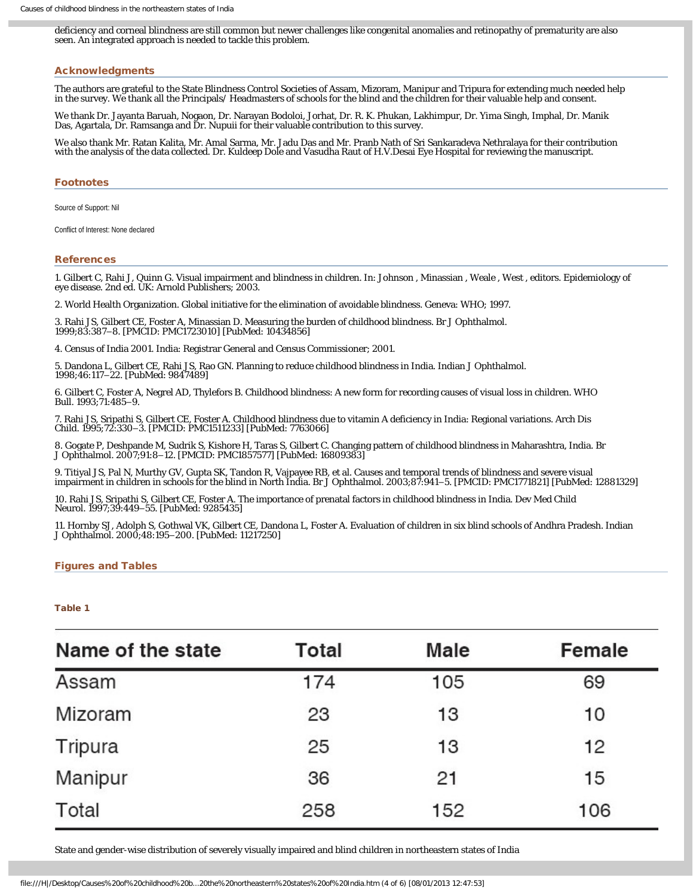deficiency and corneal blindness are still common but newer challenges like congenital anomalies and retinopathy of prematurity are also seen. An integrated approach is needed to tackle this problem.

### Acknowledgments

The authors are grateful to the State Blindness Control Societies of Assam, Mizoram, Manipur and Tripura for extending much needed help in the survey. We thank all the Principals/ Headmasters of schools for the blind and the children for their valuable help and consent.

We thank Dr. Jayanta Baruah, Nogaon, Dr. Narayan Bodoloi, Jorhat, Dr. R. K. Phukan, Lakhimpur, Dr. Yima Singh, Imphal, Dr. Manik Das, Agartala, Dr. Ramsanga and Dr. Nupuii for their valuable contribution to this survey.

We also thank Mr. Ratan Kalita, Mr. Amal Sarma, Mr. Jadu Das and Mr. Pranb Nath of Sri Sankaradeva Nethralaya for their contribution with the analysis of the data collected. Dr. Kuldeep Dole and Vasudha Raut of H.V.Desai Eye Hospital for reviewing the manuscript.

### **Footnotes**

Source of Support: Nil

Conflict of Interest: None declared

### References

1. Gilbert C, Rahi J, Quinn G. Visual impairment and blindness in children. In: Johnson , Minassian , Weale , West , editors. Epidemiology of eye disease. 2nd ed. UK: Arnold Publishers; 2003.

2. World Health Organization. Global initiative for the elimination of avoidable blindness. Geneva: WHO; 1997.

3. Rahi JS, Gilbert CE, Foster A, Minassian D. Measuring the burden of childhood blindness. Br J Ophthalmol. 1999;83:387–8. [PMCID: PMC1723010] [PubMed: 10434856]

4. Census of India 2001. India: Registrar General and Census Commissioner; 2001.

5. Dandona L, Gilbert CE, Rahi JS, Rao GN. Planning to reduce childhood blindness in India. Indian J Ophthalmol. 1998;46:117–22. [PubMed: 9847489]

6. Gilbert C, Foster A, Negrel AD, Thylefors B. Childhood blindness: A new form for recording causes of visual loss in children. WHO Bull. 1993;71:485–9.

7. Rahi JS, Sripathi S, Gilbert CE, Foster A. Childhood blindness due to vitamin A deficiency in India: Regional variations. Arch Dis Child. 1995;72:330–3. [PMCID: PMC1511233] [PubMed: 7763066]

8. Gogate P, Deshpande M, Sudrik S, Kishore H, Taras S, Gilbert C. Changing pattern of childhood blindness in Maharashtra, India. Br<br>J Ophthalmol. 2007;91:8–12. [PMCID: PMC1857577] [PubMed: 16809383]

9. Titiyal JS, Pal N, Murthy GV, Gupta SK, Tandon R, Vajpayee RB, et al. Causes and temporal trends of blindness and severe visual impairment in children in schools for the blind in North India. Br J Ophthalmol. 2003;87:941–5. [PMCID: PMC1771821] [PubMed: 12881329]

10. Rahi JS, Sripathi S, Gilbert CE, Foster A. The importance of prenatal factors in childhood blindness in India. Dev Med Child Neurol. 1997;39:449–55. [PubMed: 9285435]

11. Hornby SJ, Adolph S, Gothwal VK, Gilbert CE, Dandona L, Foster A. Evaluation of children in six blind schools of Andhra Pradesh. Indian J Ophthalmol. 2000;48:195–200. [PubMed: 11217250]

### Figures and Tables

### Table 1

| Name of the state | Total | Male | Female |  |
|-------------------|-------|------|--------|--|
| Assam             | 174   | 105  | 69     |  |
| Mizoram           | 23    | 13   | 10     |  |
| Tripura           | 25    | 13   | 12     |  |
| Manipur           | 36    | 21   | 15     |  |
| Total             | 258   | 152  | 106    |  |

State and gender-wise distribution of severely visually impaired and blind children in northeastern states of India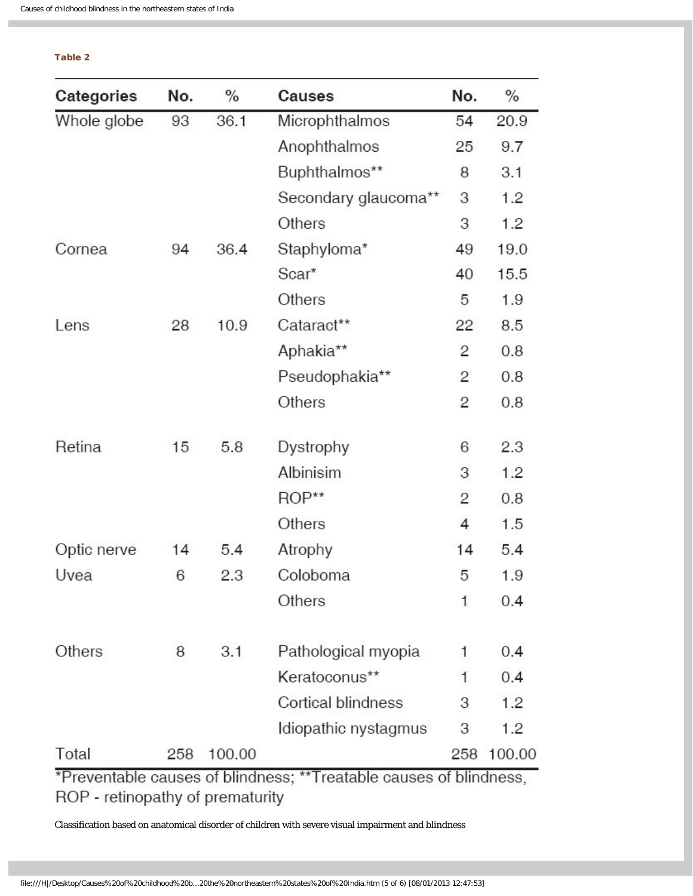| ____ |  |
|------|--|
|      |  |

| Categories                       | No. | $\%$   | Causes                                                             | No. | $\%$   |
|----------------------------------|-----|--------|--------------------------------------------------------------------|-----|--------|
| Whole globe                      | 93  | 36.1   | Microphthalmos                                                     | 54  | 20.9   |
|                                  |     |        | Anophthalmos                                                       | 25  | 9.7    |
|                                  |     |        | Buphthalmos**                                                      | 8   | 3.1    |
|                                  |     |        | Secondary glaucoma**                                               | 3   | 1.2    |
|                                  |     |        | Others                                                             | 3   | 1.2    |
| Cornea                           | 94  | 36.4   | Staphyloma*                                                        | 49  | 19.0   |
|                                  |     |        | Scar*                                                              | 40  | 15.5   |
|                                  |     |        | Others                                                             | 5   | 1.9    |
| Lens                             | 28  | 10.9   | Cataract**                                                         | 22  | 8.5    |
|                                  |     |        | Aphakia**                                                          | 2   | 0.8    |
|                                  |     |        | Pseudophakia**                                                     | 2   | 0.8    |
|                                  |     |        | Others                                                             | 2   | 0.8    |
| Retina                           | 15  | 5.8    | Dystrophy                                                          | 6   | 2.3    |
|                                  |     |        | Albinisim                                                          | З   | 1.2    |
|                                  |     |        | $ROP**$                                                            | 2   | 0.8    |
|                                  |     |        | Others                                                             | 4   | 1.5    |
| Optic nerve                      | 14  | 5.4    | Atrophy                                                            | 14  | 5.4    |
| Uvea                             | 6   | 2.3    | Coloboma                                                           | 5   | 1.9    |
|                                  |     |        | Others                                                             | 1   | 0.4    |
| Others                           | 8   | 3.1    | Pathological myopia                                                | 1   | 0.4    |
|                                  |     |        | Keratoconus**                                                      | 1   | 0.4    |
|                                  |     |        | <b>Cortical blindness</b>                                          | 3   | 1.2    |
|                                  |     |        | Idiopathic nystagmus                                               | З   | 1.2    |
| Total                            | 258 | 100.00 |                                                                    | 258 | 100.00 |
| ROP - retinopathy of prematurity |     |        | *Preventable causes of blindness; **Treatable causes of blindness, |     |        |

Classification based on anatomical disorder of children with severe visual impairment and blindness